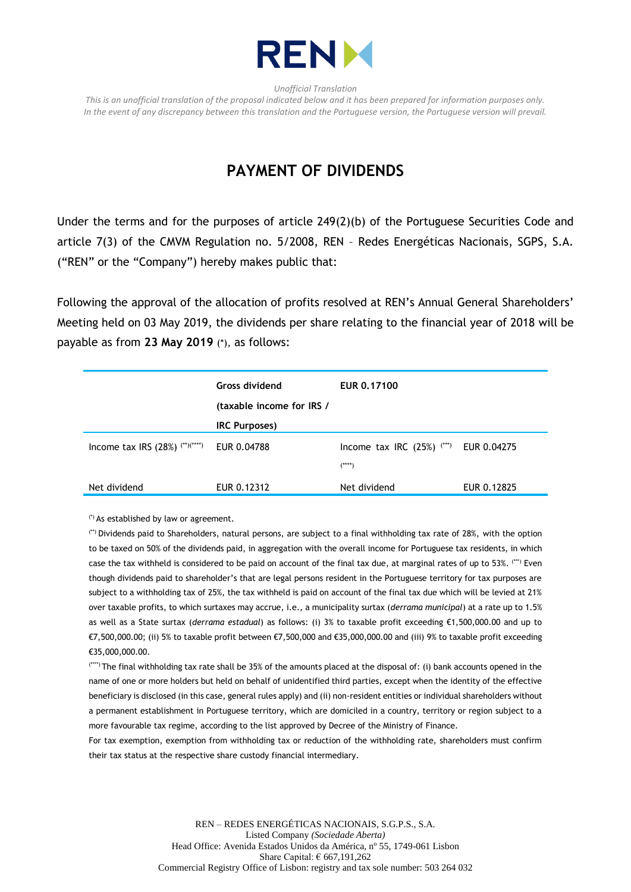

*Unofficial Translation*

*This is an unofficial translation of the proposal indicated below and it has been prepared for information purposes only. In the event of any discrepancy between this translation and the Portuguese version, the Portuguese version will prevail.*

## **PAYMENT OF DIVIDENDS**

Under the terms and for the purposes of article 249(2)(b) of the Portuguese Securities Code and article 7(3) of the CMVM Regulation no. 5/2008, REN – Redes Energéticas Nacionais, SGPS, S.A. ("REN" or the "Company") hereby makes public that:

Following the approval of the allocation of profits resolved at REN's Annual General Shareholders' Meeting held on 03 May 2019, the dividends per share relating to the financial year of 2018 will be payable as from **23 May 2019** (\*), as follows:

|                                   | Gross dividend<br>(taxable income for IRS / | EUR 0.17100                                                      |             |
|-----------------------------------|---------------------------------------------|------------------------------------------------------------------|-------------|
|                                   | <b>IRC Purposes)</b>                        |                                                                  |             |
| Income tax IRS $(28%)$ (**)(****) | EUR 0.04788                                 | Income tax IRC $(25%)$ <sup><math>(***)</math></sup><br>$(****)$ | EUR 0.04275 |
| Net dividend                      | EUR 0.12312                                 | Net dividend                                                     | EUR 0.12825 |

(\*) As established by law or agreement.

(\*\*) Dividends paid to Shareholders, natural persons, are subject to a final withholding tax rate of 28%, with the option to be taxed on 50% of the dividends paid, in aggregation with the overall income for Portuguese tax residents, in which case the tax withheld is considered to be paid on account of the final tax due, at marginal rates of up to 53%. (\*\*\*) Even though dividends paid to shareholder's that are legal persons resident in the Portuguese territory for tax purposes are subject to a withholding tax of 25%, the tax withheld is paid on account of the final tax due which will be levied at 21% over taxable profits, to which surtaxes may accrue, i.e., a municipality surtax (*derrama municipal*) at a rate up to 1.5% as well as a State surtax (*derrama estadual*) as follows: (i) 3% to taxable profit exceeding €1,500,000.00 and up to €7,500,000.00; (ii) 5% to taxable profit between €7,500,000 and €35,000,000.00 and (iii) 9% to taxable profit exceeding €35,000,000.00.

(\*\*\*\*) The final withholding tax rate shall be 35% of the amounts placed at the disposal of: (i) bank accounts opened in the name of one or more holders but held on behalf of unidentified third parties, except when the identity of the effective beneficiary is disclosed (in this case, general rules apply) and (ii) non-resident entities or individual shareholders without a permanent establishment in Portuguese territory, which are domiciled in a country, territory or region subject to a more favourable tax regime, according to the list approved by Decree of the Ministry of Finance.

For tax exemption, exemption from withholding tax or reduction of the withholding rate, shareholders must confirm their tax status at the respective share custody financial intermediary.